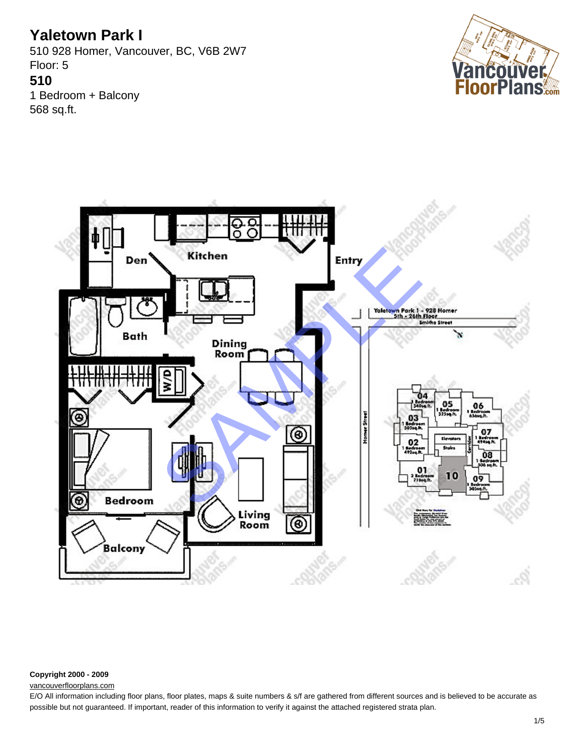510 928 Homer, Vancouver, BC, V6B 2W7 Floor: 5 **510** 1 Bedroom + Balcony 568 sq.ft.





#### **Copyright 2000 - 2009**

### [vancouverfloorplans.com](http://vancouverfloorplans.com/)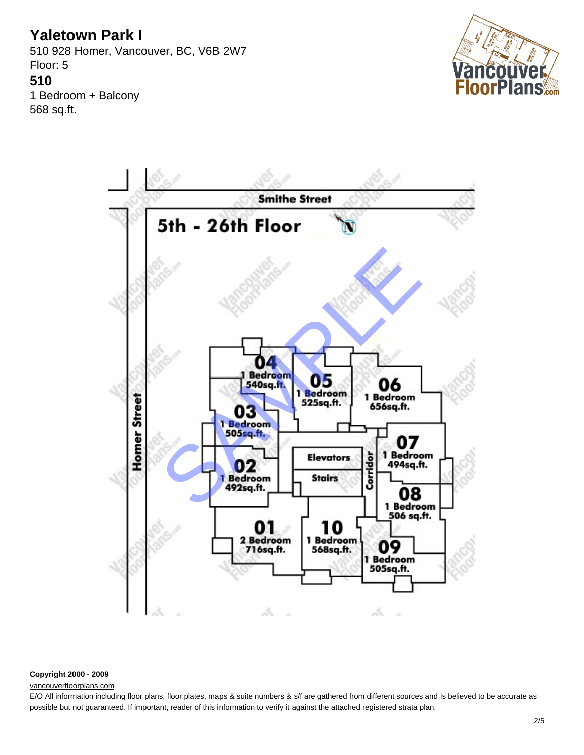510 928 Homer, Vancouver, BC, V6B 2W7 Floor: 5 **510** 1 Bedroom + Balcony 568 sq.ft.





### **Copyright 2000 - 2009**

#### [vancouverfloorplans.com](http://vancouverfloorplans.com/)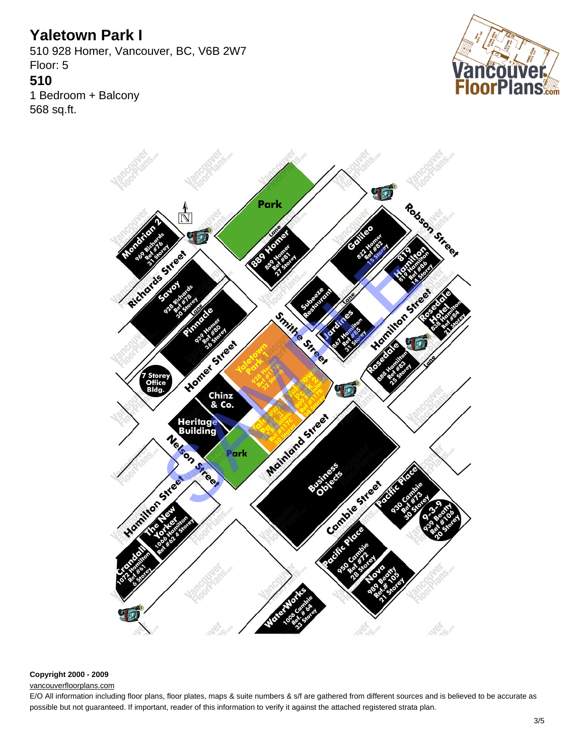510 928 Homer, Vancouver, BC, V6B 2W7 Floor: 5 **510** 1 Bedroom + Balcony 568 sq.ft.





### **Copyright 2000 - 2009**

#### [vancouverfloorplans.com](http://vancouverfloorplans.com/)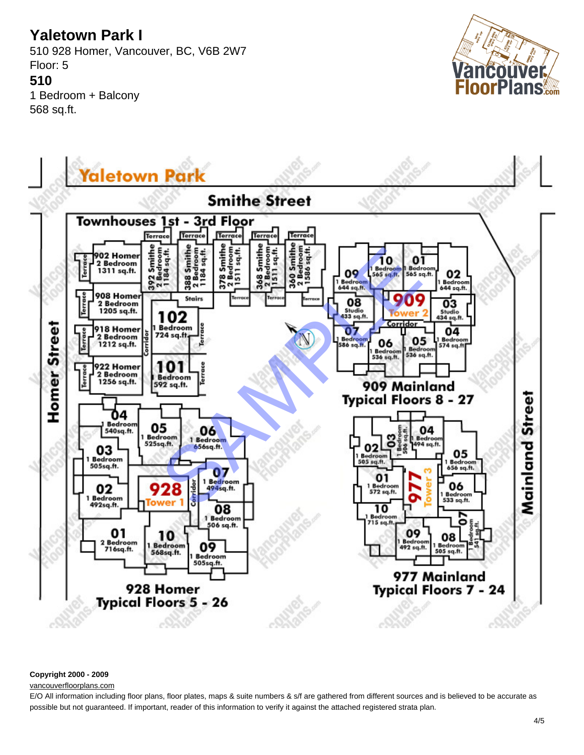510 928 Homer, Vancouver, BC, V6B 2W7 Floor: 5 **510** 1 Bedroom + Balcony 568 sq.ft.





### **Copyright 2000 - 2009**

#### [vancouverfloorplans.com](http://vancouverfloorplans.com/)